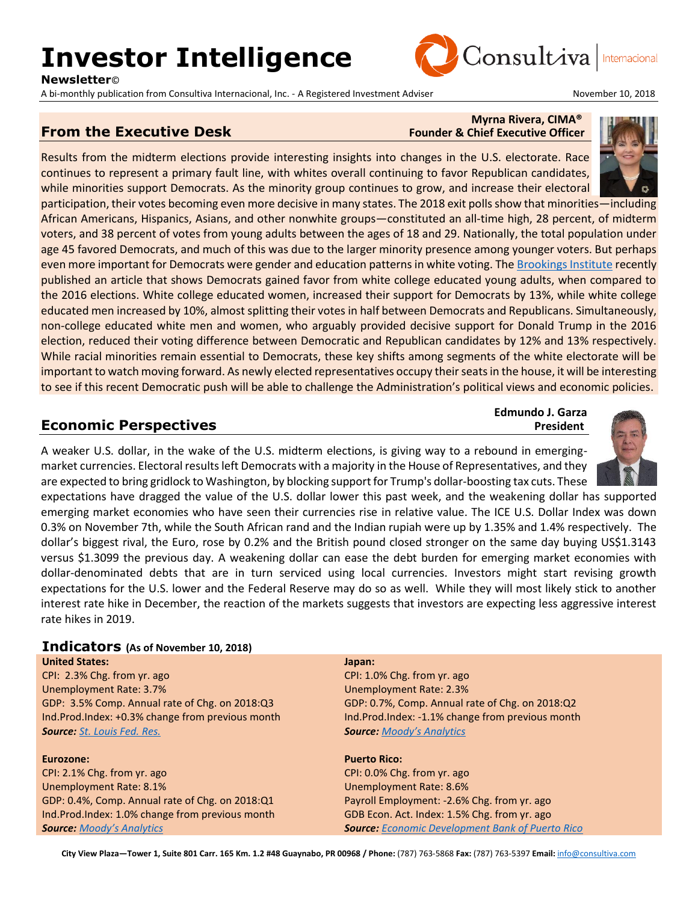# **Investor Intelligence**

**Newsletter**©

A bi-monthly publication from Consultiva Internacional, Inc. - A Registered Investment Adviser November 10, 2018



#### **From the Executive Desk** Founder & Chief Executive Officer

## **Myrna Rivera, CIMA®**

Consultiva

Results from the midterm elections provide interesting insights into changes in the U.S. electorate. Race continues to represent a primary fault line, with whites overall continuing to favor Republican candidates, while minorities support Democrats. As the minority group continues to grow, and increase their electoral

participation, their votes becoming even more decisive in many states. The 2018 exit polls show that minorities—including African Americans, Hispanics, Asians, and other nonwhite groups—constituted an all-time high, 28 percent, of midterm voters, and 38 percent of votes from young adults between the ages of 18 and 29. Nationally, the total population under age 45 favored Democrats, and much of this was due to the larger minority presence among younger voters. But perhaps even more important for Democrats were gender and education patterns in white voting. Th[e Brookings Institute](https://www.brookings.edu/blog/the-avenue/2018/11/08/2018-exit-polls-show-greater-white-support-for-democrats/) recently published an article that shows Democrats gained favor from white college educated young adults, when compared to the 2016 elections. White college educated women, increased their support for Democrats by 13%, while white college educated men increased by 10%, almost splitting their votes in half between Democrats and Republicans. Simultaneously, non-college educated white men and women, who arguably provided decisive support for Donald Trump in the 2016 election, reduced their voting difference between Democratic and Republican candidates by 12% and 13% respectively. While racial minorities remain essential to Democrats, these key shifts among segments of the white electorate will be important to watch moving forward. As newly elected representatives occupy their seats in the house, it will be interesting to see if this recent Democratic push will be able to challenge the Administration's political views and economic policies.

#### **Economic Perspectives** *President*

A weaker U.S. dollar, in the wake of the U.S. midterm elections, is giving way to a rebound in emergingmarket currencies. Electoral results left Democrats with a majority in the House of Representatives, and they are expected to bring gridlock to Washington, by blocking support for Trump's dollar-boosting tax cuts. These

expectations have dragged the value of the U.S. dollar lower this past week, and the weakening dollar has supported emerging market economies who have seen their currencies rise in relative value. The ICE U.S. Dollar Index was down 0.3% on November 7th, while the South African rand and the Indian rupiah were up by 1.35% and 1.4% respectively. The dollar's biggest rival, the Euro, rose by 0.2% and the British pound closed stronger on the same day buying US\$1.3143 versus \$1.3099 the previous day. A weakening dollar can ease the debt burden for emerging market economies with dollar-denominated debts that are in turn serviced using local currencies. Investors might start revising growth expectations for the U.S. lower and the Federal Reserve may do so as well. While they will most likely stick to another interest rate hike in December, the reaction of the markets suggests that investors are expecting less aggressive interest rate hikes in 2019.

#### **Indicators (As of November 10, 2018)**

**United States:** CPI: 2.3% Chg. from yr. ago Unemployment Rate: 3.7% GDP: 3.5% Comp. Annual rate of Chg. on 2018:Q3 Ind.Prod.Index: +0.3% change from previous month *Source: [St. Louis Fed. Res.](http://research.stlouisfed.org/)*

#### **Eurozone:**

CPI: 2.1% Chg. from yr. ago Unemployment Rate: 8.1% GDP: 0.4%, Comp. Annual rate of Chg. on 2018:Q1 Ind.Prod.Index: 1.0% change from previous month *Source: [Moody's Analytics](https://www.economy.com/dismal/)*

#### **Japan:**

CPI: 1.0% Chg. from yr. ago Unemployment Rate: 2.3% GDP: 0.7%, Comp. Annual rate of Chg. on 2018:Q2 Ind.Prod.Index: -1.1% change from previous month *Source: [Moody's Analytics](https://www.economy.com/dismal/)*

#### **Puerto Rico:**

CPI: 0.0% Chg. from yr. ago Unemployment Rate: 8.6% Payroll Employment: -2.6% Chg. from yr. ago GDB Econ. Act. Index: 1.5% Chg. from yr. ago *Source: [Economic Development Bank of Puerto Rico](https://www.bde.pr.gov/BDESite/index.html)*



**Edmundo J. Garza**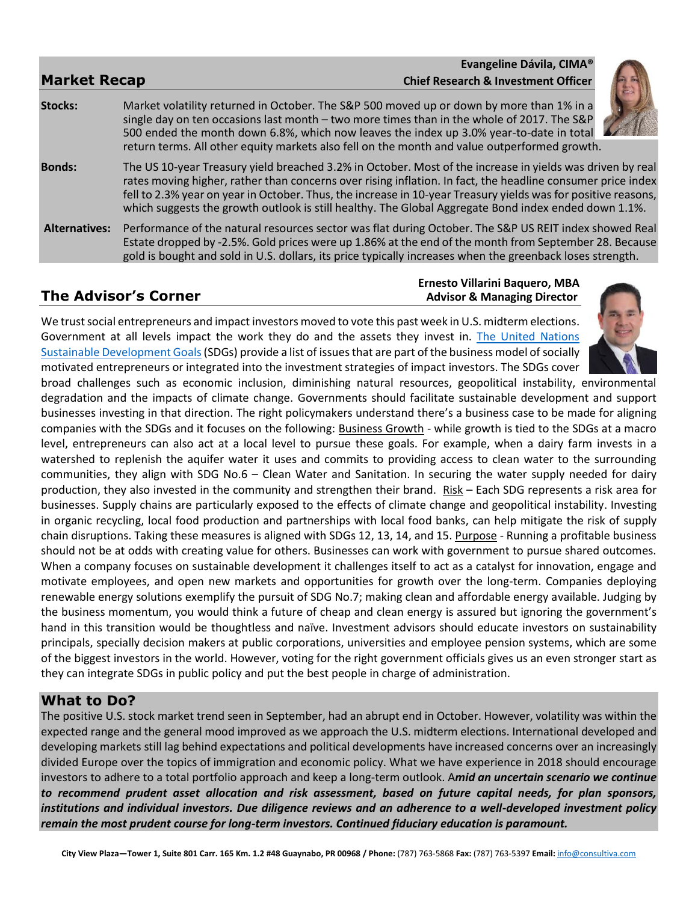|                      |                                                                                                                                                                                                                                                                                                                                                                                                                                                   | Evangeline Dávila, CIMA <sup>®</sup>           |  |
|----------------------|---------------------------------------------------------------------------------------------------------------------------------------------------------------------------------------------------------------------------------------------------------------------------------------------------------------------------------------------------------------------------------------------------------------------------------------------------|------------------------------------------------|--|
| <b>Market Recap</b>  |                                                                                                                                                                                                                                                                                                                                                                                                                                                   | <b>Chief Research &amp; Investment Officer</b> |  |
| <b>Stocks:</b>       | Market volatility returned in October. The S&P 500 moved up or down by more than 1% in a<br>single day on ten occasions last month $-$ two more times than in the whole of 2017. The S&P<br>500 ended the month down 6.8%, which now leaves the index up 3.0% year-to-date in total<br>return terms. All other equity markets also fell on the month and value outperformed growth.                                                               |                                                |  |
| <b>Bonds:</b>        | The US 10-year Treasury yield breached 3.2% in October. Most of the increase in yields was driven by real<br>rates moving higher, rather than concerns over rising inflation. In fact, the headline consumer price index<br>fell to 2.3% year on year in October. Thus, the increase in 10-year Treasury yields was for positive reasons,<br>which suggests the growth outlook is still healthy. The Global Aggregate Bond index ended down 1.1%. |                                                |  |
| <b>Alternatives:</b> | Performance of the natural resources sector was flat during October. The S&P US REIT index showed Real<br>Estate dropped by -2.5%. Gold prices were up 1.86% at the end of the month from September 28. Because<br>gold is bought and sold in U.S. dollars, its price typically increases when the greenback loses strength.                                                                                                                      |                                                |  |

#### **Ernesto Villarini Baquero, MBA The Advisor's Corner** *Advisor's* **Corner** *Advisor & Managing Director*

We trust social entrepreneurs and impact investors moved to vote this past week in U.S. midterm elections. Government at all levels impact the work they do and the assets they invest in. The United Nations [Sustainable Development Goals\(](https://www.un.org/sustainabledevelopment/sustainable-development-goals/)SDGs) provide a list of issues that are part of the business model of socially motivated entrepreneurs or integrated into the investment strategies of impact investors. The SDGs cover



broad challenges such as economic inclusion, diminishing natural resources, geopolitical instability, environmental degradation and the impacts of climate change. Governments should facilitate sustainable development and support businesses investing in that direction. The right policymakers understand there's a business case to be made for aligning companies with the SDGs and it focuses on the following: Business Growth - while growth is tied to the SDGs at a macro level, entrepreneurs can also act at a local level to pursue these goals. For example, when a dairy farm invests in a watershed to replenish the aquifer water it uses and commits to providing access to clean water to the surrounding communities, they align with SDG No.6 – Clean Water and Sanitation. In securing the water supply needed for dairy production, they also invested in the community and strengthen their brand. Risk – Each SDG represents a risk area for businesses. Supply chains are particularly exposed to the effects of climate change and geopolitical instability. Investing in organic recycling, local food production and partnerships with local food banks, can help mitigate the risk of supply chain disruptions. Taking these measures is aligned with SDGs 12, 13, 14, and 15. Purpose - Running a profitable business should not be at odds with creating value for others. Businesses can work with government to pursue shared outcomes. When a company focuses on sustainable development it challenges itself to act as a catalyst for innovation, engage and motivate employees, and open new markets and opportunities for growth over the long-term. Companies deploying renewable energy solutions exemplify the pursuit of SDG No.7; making clean and affordable energy available. Judging by the business momentum, you would think a future of cheap and clean energy is assured but ignoring the government's hand in this transition would be thoughtless and naïve. Investment advisors should educate investors on sustainability principals, specially decision makers at public corporations, universities and employee pension systems, which are some of the biggest investors in the world. However, voting for the right government officials gives us an even stronger start as they can integrate SDGs in public policy and put the best people in charge of administration.

### **What to Do?**

The positive U.S. stock market trend seen in September, had an abrupt end in October. However, volatility was within the expected range and the general mood improved as we approach the U.S. midterm elections. International developed and developing markets still lag behind expectations and political developments have increased concerns over an increasingly divided Europe over the topics of immigration and economic policy. What we have experience in 2018 should encourage investors to adhere to a total portfolio approach and keep a long-term outlook. A*mid an uncertain scenario we continue to recommend prudent asset allocation and risk assessment, based on future capital needs, for plan sponsors, institutions and individual investors. Due diligence reviews and an adherence to a well-developed investment policy remain the most prudent course for long-term investors. Continued fiduciary education is paramount.*